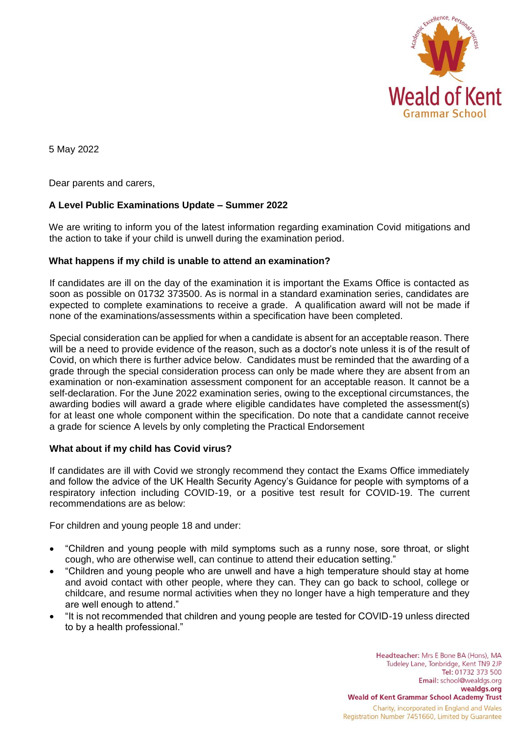

5 May 2022

Dear parents and carers,

# **A Level Public Examinations Update – Summer 2022**

We are writing to inform you of the latest information regarding examination Covid mitigations and the action to take if your child is unwell during the examination period.

## **What happens if my child is unable to attend an examination?**

If candidates are ill on the day of the examination it is important the Exams Office is contacted as soon as possible on 01732 373500. As is normal in a standard examination series, candidates are expected to complete examinations to receive a grade. A qualification award will not be made if none of the examinations/assessments within a specification have been completed.

Special consideration can be applied for when a candidate is absent for an acceptable reason. There will be a need to provide evidence of the reason, such as a doctor's note unless it is of the result of Covid, on which there is further advice below. Candidates must be reminded that the awarding of a grade through the special consideration process can only be made where they are absent from an examination or non-examination assessment component for an acceptable reason. It cannot be a self-declaration. For the June 2022 examination series, owing to the exceptional circumstances, the awarding bodies will award a grade where eligible candidates have completed the assessment(s) for at least one whole component within the specification. Do note that a candidate cannot receive a grade for science A levels by only completing the Practical Endorsement

## **What about if my child has Covid virus?**

If candidates are ill with Covid we strongly recommend they contact the Exams Office immediately and follow the advice of the UK Health Security Agency's Guidance for people with symptoms of a respiratory infection including COVID-19, or a positive test result for COVID-19. The current recommendations are as below:

For children and young people 18 and under:

- "Children and young people with mild symptoms such as a runny nose, sore throat, or slight cough, who are otherwise well, can continue to attend their education setting."
- "Children and young people who are unwell and have a high temperature should stay at home and avoid contact with other people, where they can. They can go back to school, college or childcare, and resume normal activities when they no longer have a high temperature and they are well enough to attend."
- "It is not recommended that children and young people are tested for COVID-19 unless directed to by a health professional."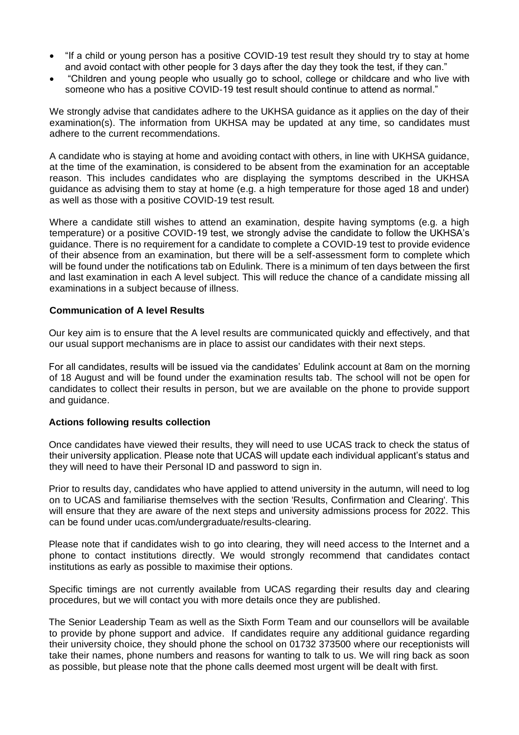- "If a child or young person has a positive COVID-19 test result they should try to stay at home and avoid contact with other people for 3 days after the day they took the test, if they can."
- "Children and young people who usually go to school, college or childcare and who live with someone who has a positive COVID-19 test result should continue to attend as normal."

We strongly advise that candidates adhere to the UKHSA guidance as it applies on the day of their examination(s). The information from UKHSA may be updated at any time, so candidates must adhere to the current recommendations.

A candidate who is staying at home and avoiding contact with others, in line with UKHSA guidance, at the time of the examination, is considered to be absent from the examination for an acceptable reason. This includes candidates who are displaying the symptoms described in the UKHSA guidance as advising them to stay at home (e.g. a high temperature for those aged 18 and under) as well as those with a positive COVID-19 test result.

Where a candidate still wishes to attend an examination, despite having symptoms (e.g. a high temperature) or a positive COVID-19 test, we strongly advise the candidate to follow the UKHSA's guidance. There is no requirement for a candidate to complete a COVID-19 test to provide evidence of their absence from an examination, but there will be a self-assessment form to complete which will be found under the notifications tab on Edulink. There is a minimum of ten days between the first and last examination in each A level subject. This will reduce the chance of a candidate missing all examinations in a subject because of illness.

#### **Communication of A level Results**

Our key aim is to ensure that the A level results are communicated quickly and effectively, and that our usual support mechanisms are in place to assist our candidates with their next steps.

For all candidates, results will be issued via the candidates' Edulink account at 8am on the morning of 18 August and will be found under the examination results tab*.* The school will not be open for candidates to collect their results in person, but we are available on the phone to provide support and guidance.

## **Actions following results collection**

Once candidates have viewed their results, they will need to use UCAS track to check the status of their university application. Please note that UCAS will update each individual applicant's status and they will need to have their Personal ID and password to sign in.

Prior to results day, candidates who have applied to attend university in the autumn, will need to log on to UCAS and familiarise themselves with the section 'Results, Confirmation and Clearing'. This will ensure that they are aware of the next steps and university admissions process for 2022. This can be found under ucas.com/undergraduate/results-clearing.

Please note that if candidates wish to go into clearing, they will need access to the Internet and a phone to contact institutions directly. We would strongly recommend that candidates contact institutions as early as possible to maximise their options.

Specific timings are not currently available from UCAS regarding their results day and clearing procedures, but we will contact you with more details once they are published.

The Senior Leadership Team as well as the Sixth Form Team and our counsellors will be available to provide by phone support and advice. If candidates require any additional guidance regarding their university choice, they should phone the school on 01732 373500 where our receptionists will take their names, phone numbers and reasons for wanting to talk to us. We will ring back as soon as possible, but please note that the phone calls deemed most urgent will be dealt with first.